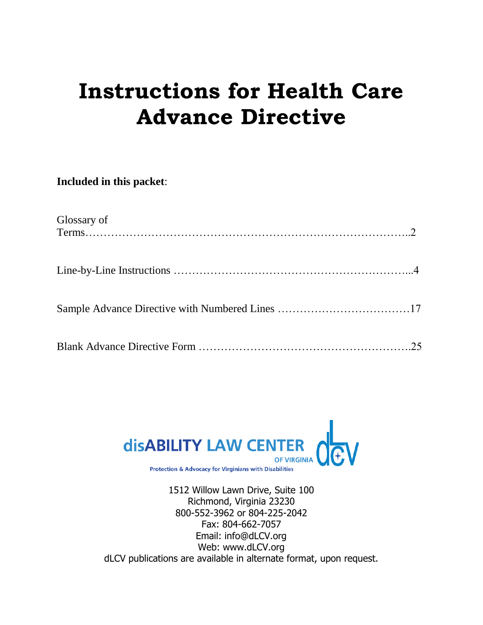# **Instructions for Health Care Advance Directive**

**Included in this packet**:

| Glossary of |  |
|-------------|--|
|             |  |
|             |  |
|             |  |



1512 Willow Lawn Drive, Suite 100 Richmond, Virginia 23230 800-552-3962 or 804-225-2042 Fax: 804-662-7057 Email: info@dLCV.org Web: www.dLCV.org dLCV publications are available in alternate format, upon request.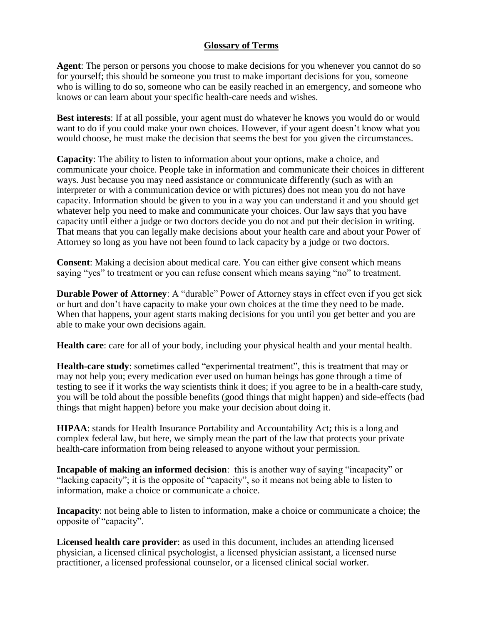# **Glossary of Terms**

**Agent**: The person or persons you choose to make decisions for you whenever you cannot do so for yourself; this should be someone you trust to make important decisions for you, someone who is willing to do so, someone who can be easily reached in an emergency, and someone who knows or can learn about your specific health-care needs and wishes.

**Best interests**: If at all possible, your agent must do whatever he knows you would do or would want to do if you could make your own choices. However, if your agent doesn't know what you would choose, he must make the decision that seems the best for you given the circumstances.

**Capacity**: The ability to listen to information about your options, make a choice, and communicate your choice. People take in information and communicate their choices in different ways. Just because you may need assistance or communicate differently (such as with an interpreter or with a communication device or with pictures) does not mean you do not have capacity. Information should be given to you in a way you can understand it and you should get whatever help you need to make and communicate your choices. Our law says that you have capacity until either a judge or two doctors decide you do not and put their decision in writing. That means that you can legally make decisions about your health care and about your Power of Attorney so long as you have not been found to lack capacity by a judge or two doctors.

**Consent**: Making a decision about medical care. You can either give consent which means saying "yes" to treatment or you can refuse consent which means saying "no" to treatment.

**Durable Power of Attorney**: A "durable" Power of Attorney stays in effect even if you get sick or hurt and don't have capacity to make your own choices at the time they need to be made. When that happens, your agent starts making decisions for you until you get better and you are able to make your own decisions again.

**Health care**: care for all of your body, including your physical health and your mental health.

**Health-care study**: sometimes called "experimental treatment", this is treatment that may or may not help you; every medication ever used on human beings has gone through a time of testing to see if it works the way scientists think it does; if you agree to be in a health-care study, you will be told about the possible benefits (good things that might happen) and side-effects (bad things that might happen) before you make your decision about doing it.

**HIPAA**: stands for Health Insurance Portability and Accountability Act**;** this is a long and complex federal law, but here, we simply mean the part of the law that protects your private health-care information from being released to anyone without your permission.

**Incapable of making an informed decision**: this is another way of saying "incapacity" or "lacking capacity"; it is the opposite of "capacity", so it means not being able to listen to information, make a choice or communicate a choice.

**Incapacity**: not being able to listen to information, make a choice or communicate a choice; the opposite of "capacity".

**Licensed health care provider**: as used in this document, includes an attending licensed physician, a licensed clinical psychologist, a licensed physician assistant, a licensed nurse practitioner, a licensed professional counselor, or a licensed clinical social worker.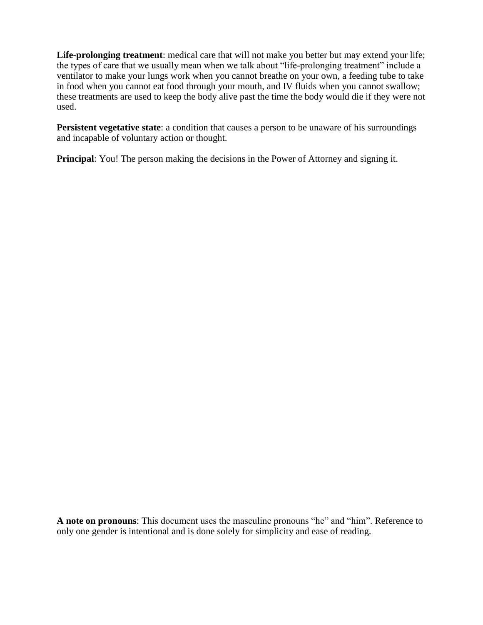**Life-prolonging treatment**: medical care that will not make you better but may extend your life; the types of care that we usually mean when we talk about "life-prolonging treatment" include a ventilator to make your lungs work when you cannot breathe on your own, a feeding tube to take in food when you cannot eat food through your mouth, and IV fluids when you cannot swallow; these treatments are used to keep the body alive past the time the body would die if they were not used.

**Persistent vegetative state**: a condition that causes a person to be unaware of his surroundings and incapable of voluntary action or thought.

**Principal:** You! The person making the decisions in the Power of Attorney and signing it.

**A note on pronouns**: This document uses the masculine pronouns "he" and "him". Reference to only one gender is intentional and is done solely for simplicity and ease of reading.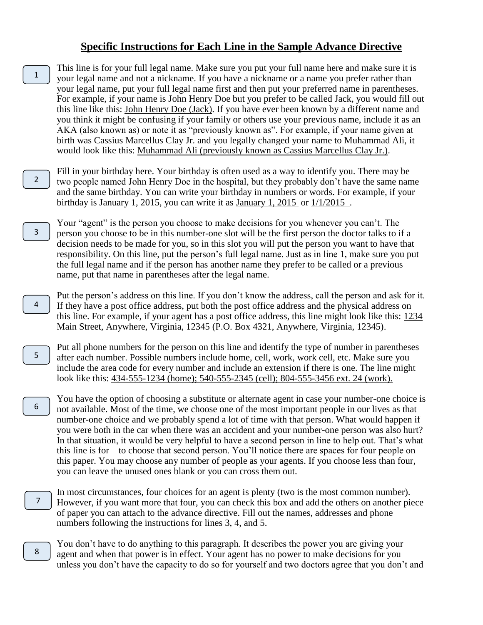### **Specific Instructions for Each Line in the Sample Advance Directive**

This line is for your full legal name. Make sure you put your full name here and make sure it is your legal name and not a nickname. If you have a nickname or a name you prefer rather than your legal name, put your full legal name first and then put your preferred name in parentheses. For example, if your name is John Henry Doe but you prefer to be called Jack, you would fill out this line like this: John Henry Doe (Jack). If you have ever been known by a different name and you think it might be confusing if your family or others use your previous name, include it as an AKA (also known as) or note it as "previously known as". For example, if your name given at birth was Cassius Marcellus Clay Jr. and you legally changed your name to Muhammad Ali, it would look like this: Muhammad Ali (previously known as Cassius Marcellus Clay Jr.). 1

Fill in your birthday here. Your birthday is often used as a way to identify you. There may be two people named John Henry Doe in the hospital, but they probably don't have the same name and the same birthday. You can write your birthday in numbers or words. For example, if your birthday is January 1, 2015, you can write it as January 1, 2015 or 1/1/2015 . 2

Your "agent" is the person you choose to make decisions for you whenever you can't. The person you choose to be in this number-one slot will be the first person the doctor talks to if a decision needs to be made for you, so in this slot you will put the person you want to have that responsibility. On this line, put the person's full legal name. Just as in line 1, make sure you put the full legal name and if the person has another name they prefer to be called or a previous name, put that name in parentheses after the legal name.

3

4

5

6

Put the person's address on this line. If you don't know the address, call the person and ask for it. If they have a post office address, put both the post office address and the physical address on this line. For example, if your agent has a post office address, this line might look like this: 1234 Main Street, Anywhere, Virginia, 12345 (P.O. Box 4321, Anywhere, Virginia, 12345).

Put all phone numbers for the person on this line and identify the type of number in parentheses after each number. Possible numbers include home, cell, work, work cell, etc. Make sure you include the area code for every number and include an extension if there is one. The line might look like this: 434-555-1234 (home); 540-555-2345 (cell); 804-555-3456 ext. 24 (work).

You have the option of choosing a substitute or alternate agent in case your number-one choice is not available. Most of the time, we choose one of the most important people in our lives as that number-one choice and we probably spend a lot of time with that person. What would happen if you were both in the car when there was an accident and your number-one person was also hurt? In that situation, it would be very helpful to have a second person in line to help out. That's what this line is for—to choose that second person. You'll notice there are spaces for four people on this paper. You may choose any number of people as your agents. If you choose less than four, you can leave the unused ones blank or you can cross them out.

- In most circumstances, four choices for an agent is plenty (two is the most common number). However, if you want more that four, you can check this box and add the others on another piece of paper you can attach to the advance directive. Fill out the names, addresses and phone numbers following the instructions for lines 3, 4, and 5. 7
- You don't have to do anything to this paragraph. It describes the power you are giving your agent and when that power is in effect. Your agent has no power to make decisions for you unless you don't have the capacity to do so for yourself and two doctors agree that you don't and 8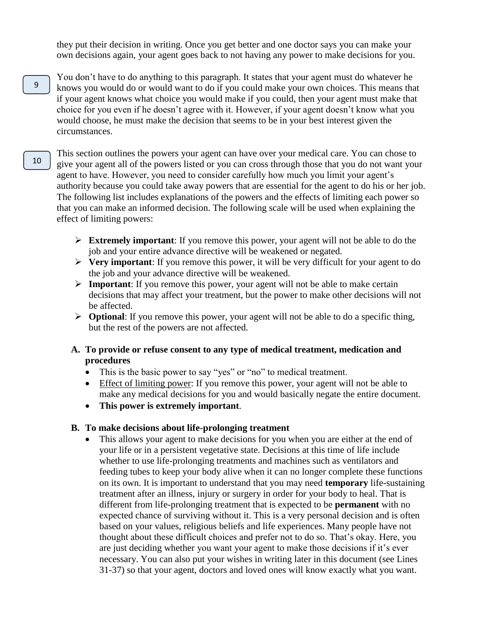they put their decision in writing. Once you get better and one doctor says you can make your own decisions again, your agent goes back to not having any power to make decisions for you.

- You don't have to do anything to this paragraph. It states that your agent must do whatever he knows you would do or would want to do if you could make your own choices. This means that if your agent knows what choice you would make if you could, then your agent must make that choice for you even if he doesn't agree with it. However, if your agent doesn't know what you would choose, he must make the decision that seems to be in your best interest given the circumstances. 9
- This section outlines the powers your agent can have over your medical care. You can chose to give your agent all of the powers listed or you can cross through those that you do not want your agent to have. However, you need to consider carefully how much you limit your agent's authority because you could take away powers that are essential for the agent to do his or her job. The following list includes explanations of the powers and the effects of limiting each power so that you can make an informed decision. The following scale will be used when explaining the effect of limiting powers: 10
	- **Extremely important:** If you remove this power, your agent will not be able to do the job and your entire advance directive will be weakened or negated.
	- **Very important**: If you remove this power, it will be very difficult for your agent to do the job and your advance directive will be weakened.
	- **Important**: If you remove this power, your agent will not be able to make certain decisions that may affect your treatment, but the power to make other decisions will not be affected.
	- **Optional**: If you remove this power, your agent will not be able to do a specific thing, but the rest of the powers are not affected.
	- **A. To provide or refuse consent to any type of medical treatment, medication and procedures**
		- This is the basic power to say "yes" or "no" to medical treatment.
		- Effect of limiting power: If you remove this power, your agent will not be able to make any medical decisions for you and would basically negate the entire document.
		- **This power is extremely important**.

#### **B. To make decisions about life-prolonging treatment**

 This allows your agent to make decisions for you when you are either at the end of your life or in a persistent vegetative state. Decisions at this time of life include whether to use life-prolonging treatments and machines such as ventilators and feeding tubes to keep your body alive when it can no longer complete these functions on its own. It is important to understand that you may need **temporary** life-sustaining treatment after an illness, injury or surgery in order for your body to heal. That is different from life-prolonging treatment that is expected to be **permanent** with no expected chance of surviving without it. This is a very personal decision and is often based on your values, religious beliefs and life experiences. Many people have not thought about these difficult choices and prefer not to do so. That's okay. Here, you are just deciding whether you want your agent to make those decisions if it's ever necessary. You can also put your wishes in writing later in this document (see Lines 31-37) so that your agent, doctors and loved ones will know exactly what you want.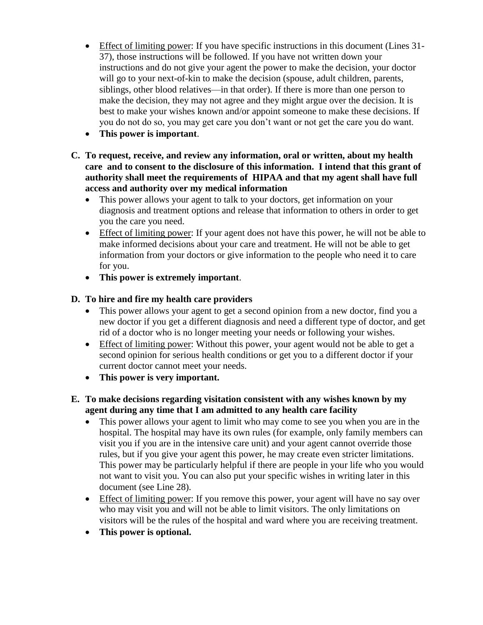- Effect of limiting power: If you have specific instructions in this document (Lines 31- 37), those instructions will be followed. If you have not written down your instructions and do not give your agent the power to make the decision, your doctor will go to your next-of-kin to make the decision (spouse, adult children, parents, siblings, other blood relatives—in that order). If there is more than one person to make the decision, they may not agree and they might argue over the decision. It is best to make your wishes known and/or appoint someone to make these decisions. If you do not do so, you may get care you don't want or not get the care you do want.
- **This power is important**.
- **C. To request, receive, and review any information, oral or written, about my health care and to consent to the disclosure of this information. I intend that this grant of authority shall meet the requirements of HIPAA and that my agent shall have full access and authority over my medical information** 
	- This power allows your agent to talk to your doctors, get information on your diagnosis and treatment options and release that information to others in order to get you the care you need.
	- Effect of limiting power: If your agent does not have this power, he will not be able to make informed decisions about your care and treatment. He will not be able to get information from your doctors or give information to the people who need it to care for you.
	- **This power is extremely important**.

# **D. To hire and fire my health care providers**

- This power allows your agent to get a second opinion from a new doctor, find you a new doctor if you get a different diagnosis and need a different type of doctor, and get rid of a doctor who is no longer meeting your needs or following your wishes.
- Effect of limiting power: Without this power, your agent would not be able to get a second opinion for serious health conditions or get you to a different doctor if your current doctor cannot meet your needs.
- **This power is very important.**

# **E. To make decisions regarding visitation consistent with any wishes known by my agent during any time that I am admitted to any health care facility**

- This power allows your agent to limit who may come to see you when you are in the hospital. The hospital may have its own rules (for example, only family members can visit you if you are in the intensive care unit) and your agent cannot override those rules, but if you give your agent this power, he may create even stricter limitations. This power may be particularly helpful if there are people in your life who you would not want to visit you. You can also put your specific wishes in writing later in this document (see Line 28).
- Effect of limiting power: If you remove this power, your agent will have no say over who may visit you and will not be able to limit visitors. The only limitations on visitors will be the rules of the hospital and ward where you are receiving treatment.
- **This power is optional.**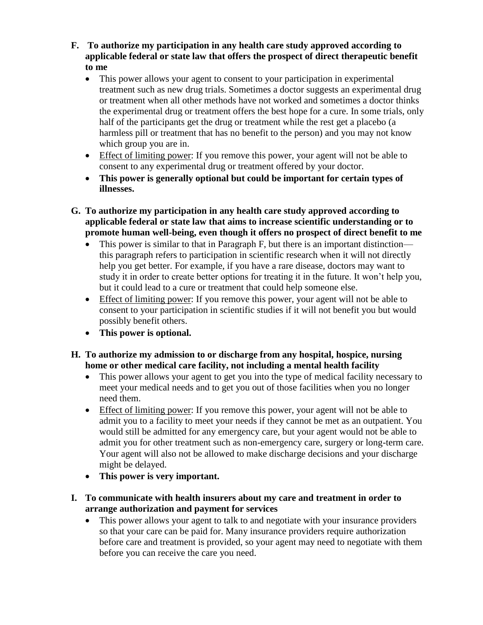- **F. To authorize my participation in any health care study approved according to applicable federal or state law that offers the prospect of direct therapeutic benefit to me** 
	- This power allows your agent to consent to your participation in experimental treatment such as new drug trials. Sometimes a doctor suggests an experimental drug or treatment when all other methods have not worked and sometimes a doctor thinks the experimental drug or treatment offers the best hope for a cure. In some trials, only half of the participants get the drug or treatment while the rest get a placebo (a harmless pill or treatment that has no benefit to the person) and you may not know which group you are in.
	- Effect of limiting power: If you remove this power, your agent will not be able to consent to any experimental drug or treatment offered by your doctor.
	- **This power is generally optional but could be important for certain types of illnesses.**
- **G. To authorize my participation in any health care study approved according to applicable federal or state law that aims to increase scientific understanding or to promote human well-being, even though it offers no prospect of direct benefit to me**
	- This power is similar to that in Paragraph F, but there is an important distinction this paragraph refers to participation in scientific research when it will not directly help you get better. For example, if you have a rare disease, doctors may want to study it in order to create better options for treating it in the future. It won't help you, but it could lead to a cure or treatment that could help someone else.
	- Effect of limiting power: If you remove this power, your agent will not be able to consent to your participation in scientific studies if it will not benefit you but would possibly benefit others.
	- **This power is optional.**
- **H. To authorize my admission to or discharge from any hospital, hospice, nursing home or other medical care facility, not including a mental health facility**
	- This power allows your agent to get you into the type of medical facility necessary to meet your medical needs and to get you out of those facilities when you no longer need them.
	- Effect of limiting power: If you remove this power, your agent will not be able to admit you to a facility to meet your needs if they cannot be met as an outpatient. You would still be admitted for any emergency care, but your agent would not be able to admit you for other treatment such as non-emergency care, surgery or long-term care. Your agent will also not be allowed to make discharge decisions and your discharge might be delayed.
	- **This power is very important.**
- **I. To communicate with health insurers about my care and treatment in order to arrange authorization and payment for services**
	- This power allows your agent to talk to and negotiate with your insurance providers so that your care can be paid for. Many insurance providers require authorization before care and treatment is provided, so your agent may need to negotiate with them before you can receive the care you need.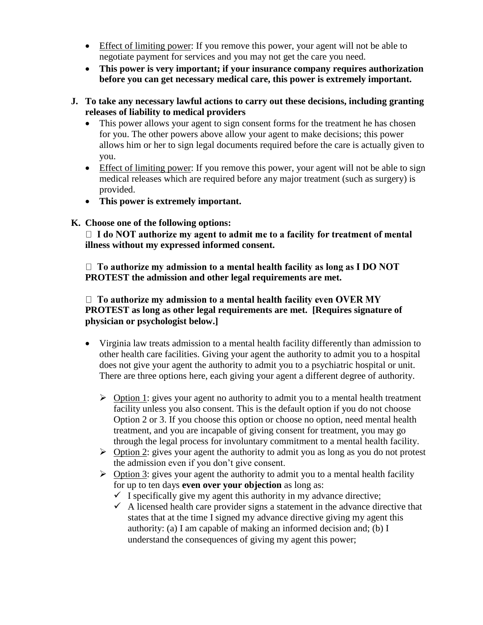- Effect of limiting power: If you remove this power, your agent will not be able to negotiate payment for services and you may not get the care you need.
- **This power is very important; if your insurance company requires authorization before you can get necessary medical care, this power is extremely important.**
- **J. To take any necessary lawful actions to carry out these decisions, including granting releases of liability to medical providers**
	- This power allows your agent to sign consent forms for the treatment he has chosen for you. The other powers above allow your agent to make decisions; this power allows him or her to sign legal documents required before the care is actually given to you.
	- Effect of limiting power: If you remove this power, your agent will not be able to sign medical releases which are required before any major treatment (such as surgery) is provided.
	- **This power is extremely important.**
- **K. Choose one of the following options:**

 $\Box$  I do NOT authorize my agent to admit me to a facility for treatment of mental **illness without my expressed informed consent.**

 $\Box$  To authorize my admission to a mental health facility as long as I DO NOT **PROTEST the admission and other legal requirements are met.** 

 $\Box$  To authorize my admission to a mental health facility even OVER MY **PROTEST as long as other legal requirements are met. [Requires signature of physician or psychologist below.]**

- Virginia law treats admission to a mental health facility differently than admission to other health care facilities. Giving your agent the authority to admit you to a hospital does not give your agent the authority to admit you to a psychiatric hospital or unit. There are three options here, each giving your agent a different degree of authority.
	- $\triangleright$  Option 1: gives your agent no authority to admit you to a mental health treatment facility unless you also consent. This is the default option if you do not choose Option 2 or 3. If you choose this option or choose no option, need mental health treatment, and you are incapable of giving consent for treatment, you may go through the legal process for involuntary commitment to a mental health facility.
	- $\triangleright$  Option 2: gives your agent the authority to admit you as long as you do not protest the admission even if you don't give consent.
	- $\triangleright$  Option 3: gives your agent the authority to admit you to a mental health facility for up to ten days **even over your objection** as long as:
		- $\checkmark$  I specifically give my agent this authority in my advance directive;
		- $\checkmark$  A licensed health care provider signs a statement in the advance directive that states that at the time I signed my advance directive giving my agent this authority: (a) I am capable of making an informed decision and; (b) I understand the consequences of giving my agent this power;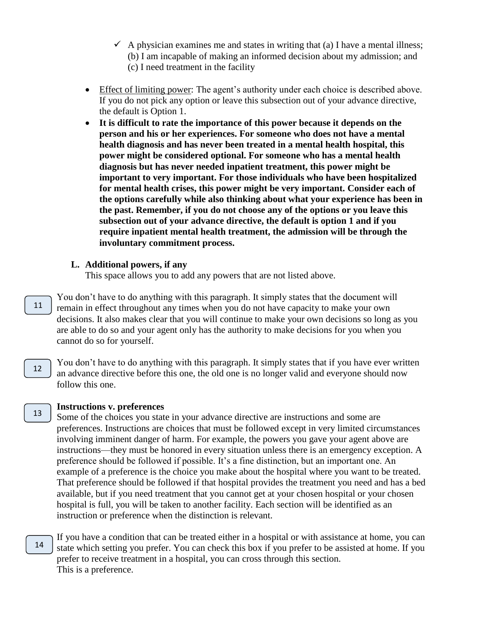- $\checkmark$  A physician examines me and states in writing that (a) I have a mental illness; (b) I am incapable of making an informed decision about my admission; and
	- (c) I need treatment in the facility
- Effect of limiting power: The agent's authority under each choice is described above. If you do not pick any option or leave this subsection out of your advance directive, the default is Option 1.
- **It is difficult to rate the importance of this power because it depends on the person and his or her experiences. For someone who does not have a mental health diagnosis and has never been treated in a mental health hospital, this power might be considered optional. For someone who has a mental health diagnosis but has never needed inpatient treatment, this power might be important to very important. For those individuals who have been hospitalized for mental health crises, this power might be very important. Consider each of the options carefully while also thinking about what your experience has been in the past. Remember, if you do not choose any of the options or you leave this subsection out of your advance directive, the default is option 1 and if you require inpatient mental health treatment, the admission will be through the involuntary commitment process.**

#### **L. Additional powers, if any**

This space allows you to add any powers that are not listed above.

- You don't have to do anything with this paragraph. It simply states that the document will remain in effect throughout any times when you do not have capacity to make your own decisions. It also makes clear that you will continue to make your own decisions so long as you are able to do so and your agent only has the authority to make decisions for you when you cannot do so for yourself. 11
	- You don't have to do anything with this paragraph. It simply states that if you have ever written an advance directive before this one, the old one is no longer valid and everyone should now follow this one.

#### 13

12

#### **Instructions v. preferences**

Some of the choices you state in your advance directive are instructions and some are preferences. Instructions are choices that must be followed except in very limited circumstances involving imminent danger of harm. For example, the powers you gave your agent above are instructions—they must be honored in every situation unless there is an emergency exception. A preference should be followed if possible. It's a fine distinction, but an important one. An example of a preference is the choice you make about the hospital where you want to be treated. That preference should be followed if that hospital provides the treatment you need and has a bed available, but if you need treatment that you cannot get at your chosen hospital or your chosen hospital is full, you will be taken to another facility. Each section will be identified as an instruction or preference when the distinction is relevant.

If you have a condition that can be treated either in a hospital or with assistance at home, you can state which setting you prefer. You can check this box if you prefer to be assisted at home. If you prefer to receive treatment in a hospital, you can cross through this section. This is a preference. 14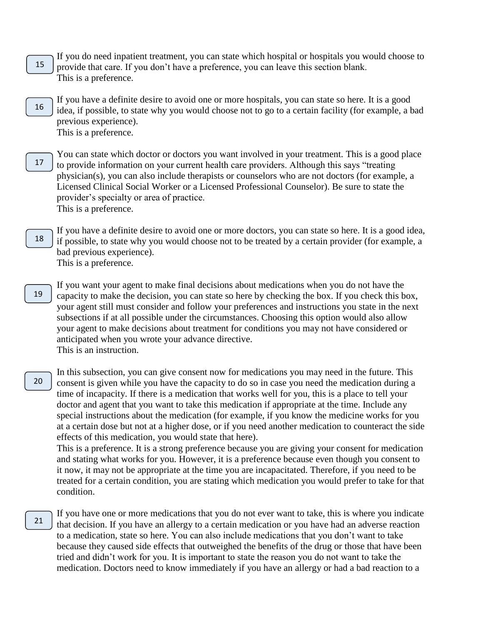- If you do need inpatient treatment, you can state which hospital or hospitals you would choose to provide that care. If you don't have a preference, you can leave this section blank. This is a preference. 15
- If you have a definite desire to avoid one or more hospitals, you can state so here. It is a good idea, if possible, to state why you would choose not to go to a certain facility (for example, a bad previous experience). This is a preference. 16
- You can state which doctor or doctors you want involved in your treatment. This is a good place to provide information on your current health care providers. Although this says "treating physician(s), you can also include therapists or counselors who are not doctors (for example, a Licensed Clinical Social Worker or a Licensed Professional Counselor). Be sure to state the provider's specialty or area of practice. This is a preference. 17
- If you have a definite desire to avoid one or more doctors, you can state so here. It is a good idea, if possible, to state why you would choose not to be treated by a certain provider (for example, a bad previous experience). This is a preference. 18
- If you want your agent to make final decisions about medications when you do not have the capacity to make the decision, you can state so here by checking the box. If you check this box, your agent still must consider and follow your preferences and instructions you state in the next subsections if at all possible under the circumstances. Choosing this option would also allow your agent to make decisions about treatment for conditions you may not have considered or anticipated when you wrote your advance directive. This is an instruction. 19
- In this subsection, you can give consent now for medications you may need in the future. This consent is given while you have the capacity to do so in case you need the medication during a time of incapacity. If there is a medication that works well for you, this is a place to tell your doctor and agent that you want to take this medication if appropriate at the time. Include any special instructions about the medication (for example, if you know the medicine works for you at a certain dose but not at a higher dose, or if you need another medication to counteract the side effects of this medication, you would state that here). 20

This is a preference. It is a strong preference because you are giving your consent for medication and stating what works for you. However, it is a preference because even though you consent to it now, it may not be appropriate at the time you are incapacitated. Therefore, if you need to be treated for a certain condition, you are stating which medication you would prefer to take for that condition.

If you have one or more medications that you do not ever want to take, this is where you indicate that decision. If you have an allergy to a certain medication or you have had an adverse reaction to a medication, state so here. You can also include medications that you don't want to take because they caused side effects that outweighed the benefits of the drug or those that have been tried and didn't work for you. It is important to state the reason you do not want to take the medication. Doctors need to know immediately if you have an allergy or had a bad reaction to a 21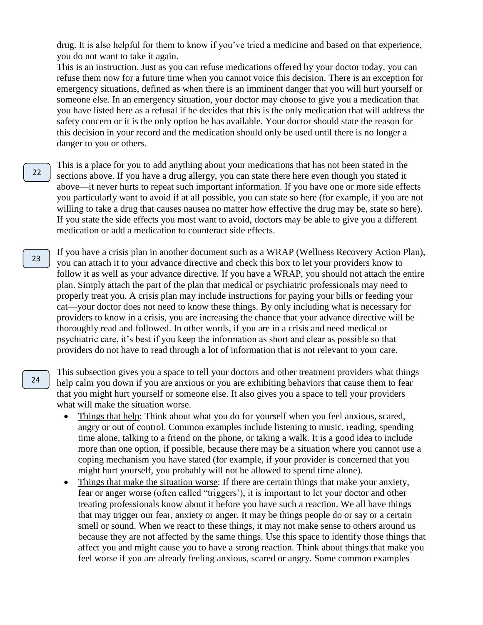drug. It is also helpful for them to know if you've tried a medicine and based on that experience, you do not want to take it again.

This is an instruction. Just as you can refuse medications offered by your doctor today, you can refuse them now for a future time when you cannot voice this decision. There is an exception for emergency situations, defined as when there is an imminent danger that you will hurt yourself or someone else. In an emergency situation, your doctor may choose to give you a medication that you have listed here as a refusal if he decides that this is the only medication that will address the safety concern or it is the only option he has available. Your doctor should state the reason for this decision in your record and the medication should only be used until there is no longer a danger to you or others.

- This is a place for you to add anything about your medications that has not been stated in the sections above. If you have a drug allergy, you can state there here even though you stated it above—it never hurts to repeat such important information. If you have one or more side effects you particularly want to avoid if at all possible, you can state so here (for example, if you are not willing to take a drug that causes nausea no matter how effective the drug may be, state so here). If you state the side effects you most want to avoid, doctors may be able to give you a different medication or add a medication to counteract side effects. 22
- If you have a crisis plan in another document such as a WRAP (Wellness Recovery Action Plan), you can attach it to your advance directive and check this box to let your providers know to follow it as well as your advance directive. If you have a WRAP, you should not attach the entire plan. Simply attach the part of the plan that medical or psychiatric professionals may need to properly treat you. A crisis plan may include instructions for paying your bills or feeding your cat—your doctor does not need to know these things. By only including what is necessary for providers to know in a crisis, you are increasing the chance that your advance directive will be thoroughly read and followed. In other words, if you are in a crisis and need medical or psychiatric care, it's best if you keep the information as short and clear as possible so that providers do not have to read through a lot of information that is not relevant to your care. 23

This subsection gives you a space to tell your doctors and other treatment providers what things help calm you down if you are anxious or you are exhibiting behaviors that cause them to fear that you might hurt yourself or someone else. It also gives you a space to tell your providers what will make the situation worse.

- Things that help: Think about what you do for yourself when you feel anxious, scared, angry or out of control. Common examples include listening to music, reading, spending time alone, talking to a friend on the phone, or taking a walk. It is a good idea to include more than one option, if possible, because there may be a situation where you cannot use a coping mechanism you have stated (for example, if your provider is concerned that you might hurt yourself, you probably will not be allowed to spend time alone).
- Things that make the situation worse: If there are certain things that make your anxiety, fear or anger worse (often called "triggers'), it is important to let your doctor and other treating professionals know about it before you have such a reaction. We all have things that may trigger our fear, anxiety or anger. It may be things people do or say or a certain smell or sound. When we react to these things, it may not make sense to others around us because they are not affected by the same things. Use this space to identify those things that affect you and might cause you to have a strong reaction. Think about things that make you feel worse if you are already feeling anxious, scared or angry. Some common examples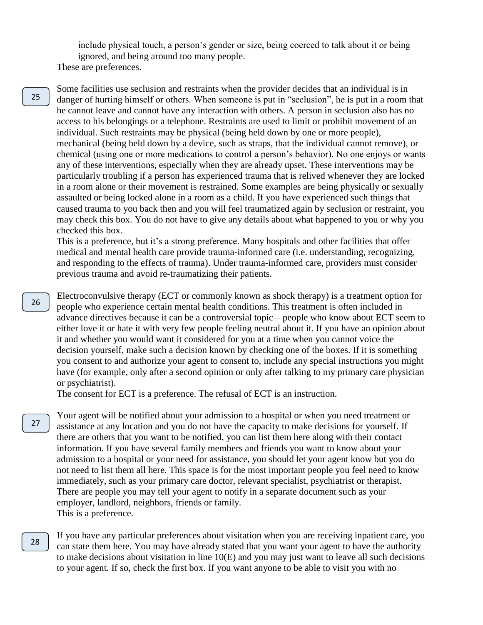include physical touch, a person's gender or size, being coerced to talk about it or being ignored, and being around too many people. These are preferences.

Some facilities use seclusion and restraints when the provider decides that an individual is in danger of hurting himself or others. When someone is put in "seclusion", he is put in a room that he cannot leave and cannot have any interaction with others. A person in seclusion also has no access to his belongings or a telephone. Restraints are used to limit or prohibit movement of an individual. Such restraints may be physical (being held down by one or more people), mechanical (being held down by a device, such as straps, that the individual cannot remove), or chemical (using one or more medications to control a person's behavior). No one enjoys or wants any of these interventions, especially when they are already upset. These interventions may be particularly troubling if a person has experienced trauma that is relived whenever they are locked in a room alone or their movement is restrained. Some examples are being physically or sexually assaulted or being locked alone in a room as a child. If you have experienced such things that caused trauma to you back then and you will feel traumatized again by seclusion or restraint, you may check this box. You do not have to give any details about what happened to you or why you checked this box.

This is a preference, but it's a strong preference. Many hospitals and other facilities that offer medical and mental health care provide trauma-informed care (i.e. understanding, recognizing, and responding to the effects of trauma). Under trauma-informed care, providers must consider previous trauma and avoid re-traumatizing their patients.

Electroconvulsive therapy (ECT or commonly known as shock therapy) is a treatment option for people who experience certain mental health conditions. This treatment is often included in advance directives because it can be a controversial topic—people who know about ECT seem to either love it or hate it with very few people feeling neutral about it. If you have an opinion about it and whether you would want it considered for you at a time when you cannot voice the decision yourself, make such a decision known by checking one of the boxes. If it is something you consent to and authorize your agent to consent to, include any special instructions you might have (for example, only after a second opinion or only after talking to my primary care physician or psychiatrist).

The consent for ECT is a preference. The refusal of ECT is an instruction.

Your agent will be notified about your admission to a hospital or when you need treatment or assistance at any location and you do not have the capacity to make decisions for yourself. If there are others that you want to be notified, you can list them here along with their contact information. If you have several family members and friends you want to know about your admission to a hospital or your need for assistance, you should let your agent know but you do not need to list them all here. This space is for the most important people you feel need to know immediately, such as your primary care doctor, relevant specialist, psychiatrist or therapist. There are people you may tell your agent to notify in a separate document such as your employer, landlord, neighbors, friends or family. This is a preference.

If you have any particular preferences about visitation when you are receiving inpatient care, you can state them here. You may have already stated that you want your agent to have the authority to make decisions about visitation in line 10(E) and you may just want to leave all such decisions to your agent. If so, check the first box. If you want anyone to be able to visit you with no

26

28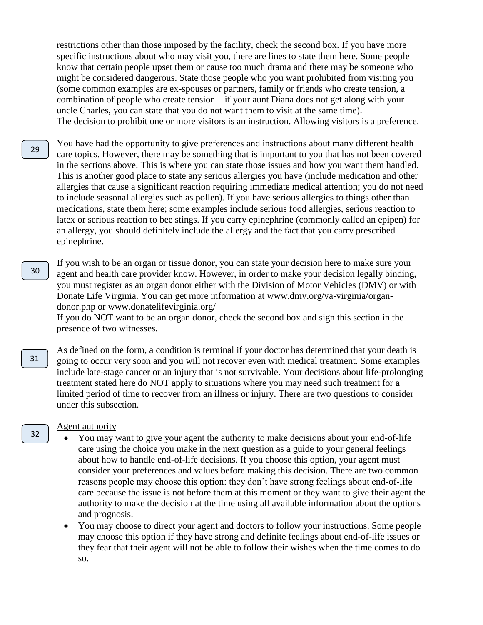restrictions other than those imposed by the facility, check the second box. If you have more specific instructions about who may visit you, there are lines to state them here. Some people know that certain people upset them or cause too much drama and there may be someone who might be considered dangerous. State those people who you want prohibited from visiting you (some common examples are ex-spouses or partners, family or friends who create tension, a combination of people who create tension—if your aunt Diana does not get along with your uncle Charles, you can state that you do not want them to visit at the same time). The decision to prohibit one or more visitors is an instruction. Allowing visitors is a preference.

- You have had the opportunity to give preferences and instructions about many different health care topics. However, there may be something that is important to you that has not been covered in the sections above. This is where you can state those issues and how you want them handled. This is another good place to state any serious allergies you have (include medication and other allergies that cause a significant reaction requiring immediate medical attention; you do not need to include seasonal allergies such as pollen). If you have serious allergies to things other than medications, state them here; some examples include serious food allergies, serious reaction to latex or serious reaction to bee stings. If you carry epinephrine (commonly called an epipen) for an allergy, you should definitely include the allergy and the fact that you carry prescribed epinephrine. 29
	- If you wish to be an organ or tissue donor, you can state your decision here to make sure your agent and health care provider know. However, in order to make your decision legally binding, you must register as an organ donor either with the Division of Motor Vehicles (DMV) or with Donate Life Virginia. You can get more information at www.dmv.org/va-virginia/organdonor.php or www.donatelifevirginia.org/

If you do NOT want to be an organ donor, check the second box and sign this section in the presence of two witnesses.

As defined on the form, a condition is terminal if your doctor has determined that your death is going to occur very soon and you will not recover even with medical treatment. Some examples include late-stage cancer or an injury that is not survivable. Your decisions about life-prolonging treatment stated here do NOT apply to situations where you may need such treatment for a limited period of time to recover from an illness or injury. There are two questions to consider under this subsection.

#### Agent authority

- You may want to give your agent the authority to make decisions about your end-of-life care using the choice you make in the next question as a guide to your general feelings about how to handle end-of-life decisions. If you choose this option, your agent must consider your preferences and values before making this decision. There are two common reasons people may choose this option: they don't have strong feelings about end-of-life care because the issue is not before them at this moment or they want to give their agent the authority to make the decision at the time using all available information about the options and prognosis.
- You may choose to direct your agent and doctors to follow your instructions. Some people may choose this option if they have strong and definite feelings about end-of-life issues or they fear that their agent will not be able to follow their wishes when the time comes to do so.

30

31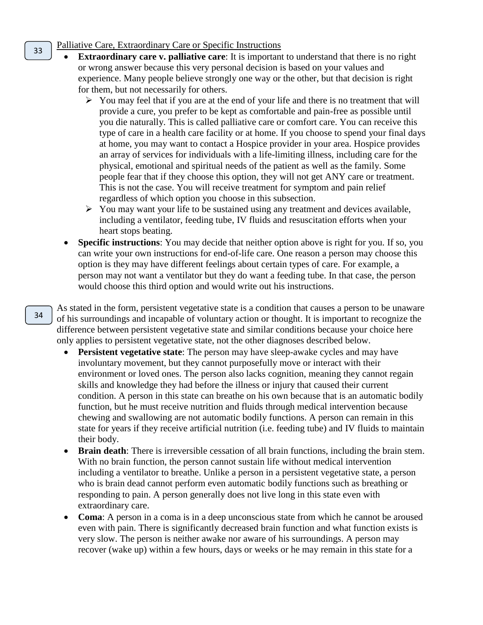#### Palliative Care, Extraordinary Care or Specific Instructions

- **Extraordinary care v. palliative care**: It is important to understand that there is no right or wrong answer because this very personal decision is based on your values and experience. Many people believe strongly one way or the other, but that decision is right for them, but not necessarily for others.
	- $\triangleright$  You may feel that if you are at the end of your life and there is no treatment that will provide a cure, you prefer to be kept as comfortable and pain-free as possible until you die naturally. This is called palliative care or comfort care. You can receive this type of care in a health care facility or at home. If you choose to spend your final days at home, you may want to contact a Hospice provider in your area. Hospice provides an array of services for individuals with a life-limiting illness, including care for the physical, emotional and spiritual needs of the patient as well as the family. Some people fear that if they choose this option, they will not get ANY care or treatment. This is not the case. You will receive treatment for symptom and pain relief regardless of which option you choose in this subsection.
	- $\triangleright$  You may want your life to be sustained using any treatment and devices available, including a ventilator, feeding tube, IV fluids and resuscitation efforts when your heart stops beating.
- **Specific instructions**: You may decide that neither option above is right for you. If so, you can write your own instructions for end-of-life care. One reason a person may choose this option is they may have different feelings about certain types of care. For example, a person may not want a ventilator but they do want a feeding tube. In that case, the person would choose this third option and would write out his instructions.

As stated in the form, persistent vegetative state is a condition that causes a person to be unaware of his surroundings and incapable of voluntary action or thought. It is important to recognize the difference between persistent vegetative state and similar conditions because your choice here only applies to persistent vegetative state, not the other diagnoses described below.

- **Persistent vegetative state**: The person may have sleep-awake cycles and may have involuntary movement, but they cannot purposefully move or interact with their environment or loved ones. The person also lacks cognition, meaning they cannot regain skills and knowledge they had before the illness or injury that caused their current condition. A person in this state can breathe on his own because that is an automatic bodily function, but he must receive nutrition and fluids through medical intervention because chewing and swallowing are not automatic bodily functions. A person can remain in this state for years if they receive artificial nutrition (i.e. feeding tube) and IV fluids to maintain their body.
- **Brain death**: There is irreversible cessation of all brain functions, including the brain stem. With no brain function, the person cannot sustain life without medical intervention including a ventilator to breathe. Unlike a person in a persistent vegetative state, a person who is brain dead cannot perform even automatic bodily functions such as breathing or responding to pain. A person generally does not live long in this state even with extraordinary care.
- **Coma**: A person in a coma is in a deep unconscious state from which he cannot be aroused even with pain. There is significantly decreased brain function and what function exists is very slow. The person is neither awake nor aware of his surroundings. A person may recover (wake up) within a few hours, days or weeks or he may remain in this state for a

34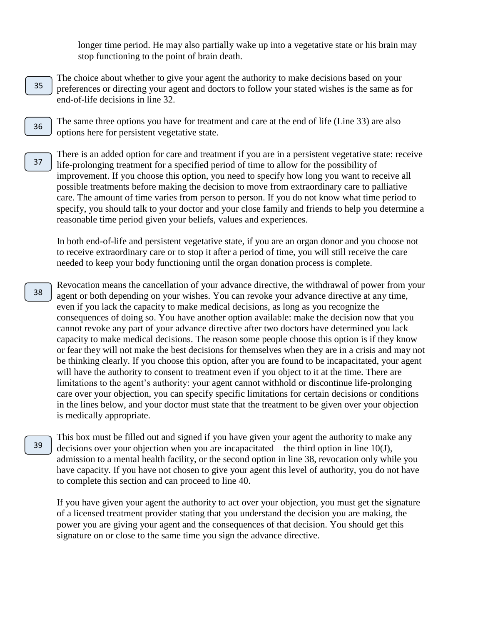longer time period. He may also partially wake up into a vegetative state or his brain may stop functioning to the point of brain death.

- The choice about whether to give your agent the authority to make decisions based on your preferences or directing your agent and doctors to follow your stated wishes is the same as for end-of-life decisions in line 32. 35
- The same three options you have for treatment and care at the end of life (Line 33) are also options here for persistent vegetative state. 36
- There is an added option for care and treatment if you are in a persistent vegetative state: receive life-prolonging treatment for a specified period of time to allow for the possibility of improvement. If you choose this option, you need to specify how long you want to receive all possible treatments before making the decision to move from extraordinary care to palliative care. The amount of time varies from person to person. If you do not know what time period to specify, you should talk to your doctor and your close family and friends to help you determine a reasonable time period given your beliefs, values and experiences. 37

In both end-of-life and persistent vegetative state, if you are an organ donor and you choose not to receive extraordinary care or to stop it after a period of time, you will still receive the care needed to keep your body functioning until the organ donation process is complete.

- Revocation means the cancellation of your advance directive, the withdrawal of power from your agent or both depending on your wishes. You can revoke your advance directive at any time, even if you lack the capacity to make medical decisions, as long as you recognize the consequences of doing so. You have another option available: make the decision now that you cannot revoke any part of your advance directive after two doctors have determined you lack capacity to make medical decisions. The reason some people choose this option is if they know or fear they will not make the best decisions for themselves when they are in a crisis and may not be thinking clearly. If you choose this option, after you are found to be incapacitated, your agent will have the authority to consent to treatment even if you object to it at the time. There are limitations to the agent's authority: your agent cannot withhold or discontinue life-prolonging care over your objection, you can specify specific limitations for certain decisions or conditions in the lines below, and your doctor must state that the treatment to be given over your objection is medically appropriate. 38
	- This box must be filled out and signed if you have given your agent the authority to make any decisions over your objection when you are incapacitated—the third option in line 10(J), admission to a mental health facility, or the second option in line 38, revocation only while you have capacity. If you have not chosen to give your agent this level of authority, you do not have to complete this section and can proceed to line 40.

If you have given your agent the authority to act over your objection, you must get the signature of a licensed treatment provider stating that you understand the decision you are making, the power you are giving your agent and the consequences of that decision. You should get this signature on or close to the same time you sign the advance directive.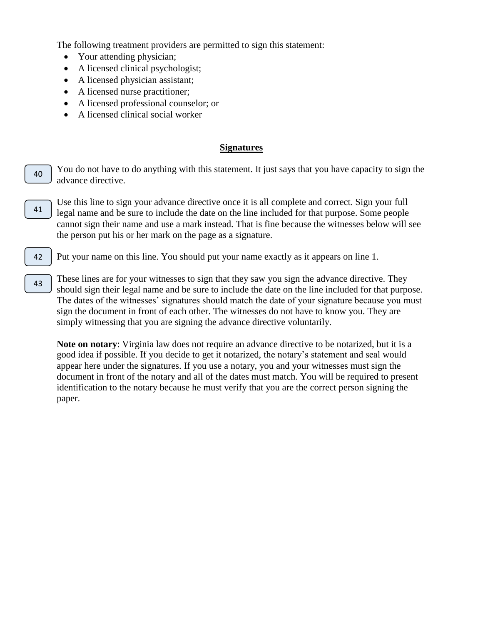The following treatment providers are permitted to sign this statement:

- Your attending physician;
- A licensed clinical psychologist;
- A licensed physician assistant;
- A licensed nurse practitioner;

42

- A licensed professional counselor; or
- A licensed clinical social worker

#### **Signatures**

- You do not have to do anything with this statement. It just says that you have capacity to sign the advance directive. 40
- Use this line to sign your advance directive once it is all complete and correct. Sign your full legal name and be sure to include the date on the line included for that purpose. Some people cannot sign their name and use a mark instead. That is fine because the witnesses below will see the person put his or her mark on the page as a signature. 41

Put your name on this line. You should put your name exactly as it appears on line 1.

These lines are for your witnesses to sign that they saw you sign the advance directive. They should sign their legal name and be sure to include the date on the line included for that purpose. The dates of the witnesses' signatures should match the date of your signature because you must sign the document in front of each other. The witnesses do not have to know you. They are simply witnessing that you are signing the advance directive voluntarily. 43

**Note on notary**: Virginia law does not require an advance directive to be notarized, but it is a good idea if possible. If you decide to get it notarized, the notary's statement and seal would appear here under the signatures. If you use a notary, you and your witnesses must sign the document in front of the notary and all of the dates must match. You will be required to present identification to the notary because he must verify that you are the correct person signing the paper.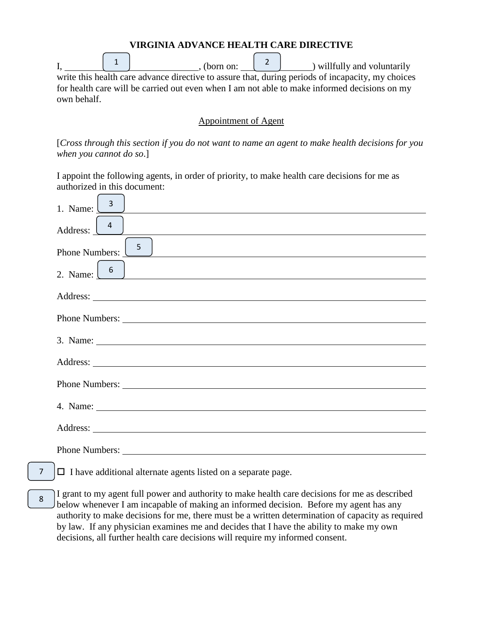| VIRGINIA ADVANCE HEALTH CARE DIRECTIVE                                                            |  |  |  |                                                                                              |
|---------------------------------------------------------------------------------------------------|--|--|--|----------------------------------------------------------------------------------------------|
|                                                                                                   |  |  |  | $\left( \begin{array}{ccc} 2 & 2 \\ 0 & \end{array} \right)$ will fully and voluntarily      |
| write this health care advance directive to assure that, during periods of incapacity, my choices |  |  |  |                                                                                              |
|                                                                                                   |  |  |  | for health care will be carried out even when I am not able to make informed decisions on my |
| own behalf.                                                                                       |  |  |  |                                                                                              |

**VIRGINIA ADVANCE HEALTH CARE DIRECTIVE** 

#### Appointment of Agent

[*Cross through this section if you do not want to name an agent to make health decisions for you when you cannot do so*.]

I appoint the following agents, in order of priority, to make health care decisions for me as authorized in this document:

| 1. Name: $\frac{3}{5}$<br>,我们也不会有什么。""我们的人,我们也不会有什么?""我们的人,我们也不会有什么?""我们的人,我们也不会有什么?""我们的人,我们也不会有什么?""我们的人 |
|------------------------------------------------------------------------------------------------------------|
|                                                                                                            |
| 5 <sub>1</sub><br>Phone Numbers:<br><u> 1989 - John Stoff, amerikansk politiker (* 1989)</u>               |
| 2. Name: $\begin{bmatrix} 6 \end{bmatrix}$                                                                 |
|                                                                                                            |
|                                                                                                            |
| 3. Name:                                                                                                   |
|                                                                                                            |
|                                                                                                            |
|                                                                                                            |
|                                                                                                            |
|                                                                                                            |

- $\Box$  I have additional alternate agents listed on a separate page. 7
- I grant to my agent full power and authority to make health care decisions for me as described below whenever I am incapable of making an informed decision. Before my agent has any authority to make decisions for me, there must be a written determination of capacity as required by law. If any physician examines me and decides that I have the ability to make my own decisions, all further health care decisions will require my informed consent. 8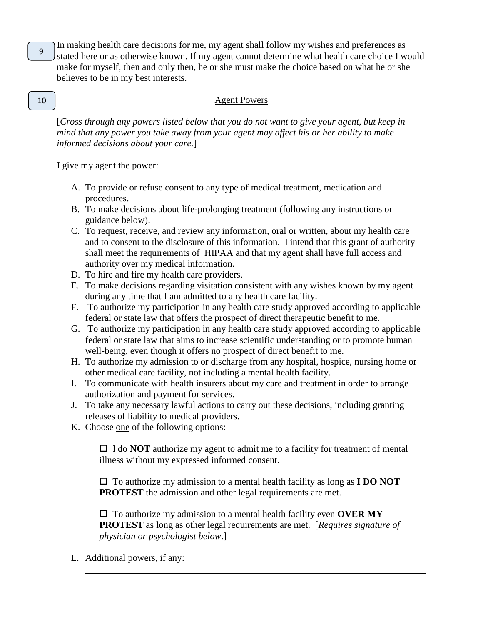In making health care decisions for me, my agent shall follow my wishes and preferences as stated here or as otherwise known. If my agent cannot determine what health care choice I would make for myself, then and only then, he or she must make the choice based on what he or she believes to be in my best interests.

#### Agent Powers

[*Cross through any powers listed below that you do not want to give your agent, but keep in mind that any power you take away from your agent may affect his or her ability to make informed decisions about your care.*]

I give my agent the power:

- A. To provide or refuse consent to any type of medical treatment, medication and procedures.
- B. To make decisions about life-prolonging treatment (following any instructions or guidance below).
- C. To request, receive, and review any information, oral or written, about my health care and to consent to the disclosure of this information. I intend that this grant of authority shall meet the requirements of HIPAA and that my agent shall have full access and authority over my medical information.
- D. To hire and fire my health care providers.
- E. To make decisions regarding visitation consistent with any wishes known by my agent during any time that I am admitted to any health care facility.
- F. To authorize my participation in any health care study approved according to applicable federal or state law that offers the prospect of direct therapeutic benefit to me.
- G. To authorize my participation in any health care study approved according to applicable federal or state law that aims to increase scientific understanding or to promote human well-being, even though it offers no prospect of direct benefit to me.
- H. To authorize my admission to or discharge from any hospital, hospice, nursing home or other medical care facility, not including a mental health facility.
- I. To communicate with health insurers about my care and treatment in order to arrange authorization and payment for services.
- J. To take any necessary lawful actions to carry out these decisions, including granting releases of liability to medical providers.
- K. Choose one of the following options:

 $\Box$  I do **NOT** authorize my agent to admit me to a facility for treatment of mental illness without my expressed informed consent.

 To authorize my admission to a mental health facility as long as **I DO NOT PROTEST** the admission and other legal requirements are met.

 $\Box$  To authorize my admission to a mental health facility even **OVER MY PROTEST** as long as other legal requirements are met. [*Requires signature of physician or psychologist below*.]

L. Additional powers, if any:

# 10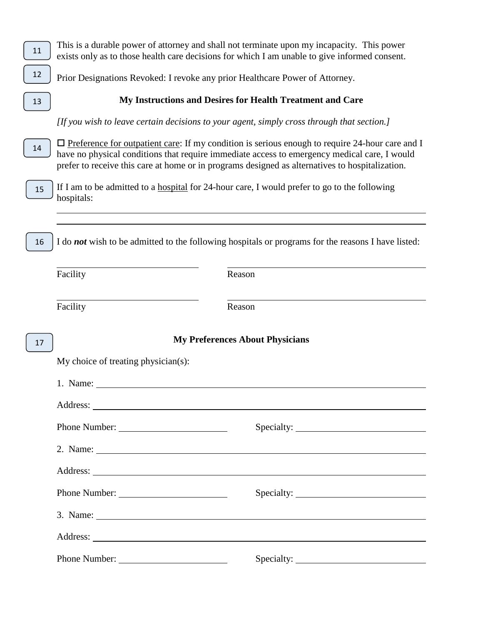| 11 |                                                                                            | This is a durable power of attorney and shall not terminate upon my incapacity. This power<br>exists only as to those health care decisions for which I am unable to give informed consent.                                                                                                                        |
|----|--------------------------------------------------------------------------------------------|--------------------------------------------------------------------------------------------------------------------------------------------------------------------------------------------------------------------------------------------------------------------------------------------------------------------|
| 12 | Prior Designations Revoked: I revoke any prior Healthcare Power of Attorney.               |                                                                                                                                                                                                                                                                                                                    |
| 13 |                                                                                            | My Instructions and Desires for Health Treatment and Care                                                                                                                                                                                                                                                          |
|    | [If you wish to leave certain decisions to your agent, simply cross through that section.] |                                                                                                                                                                                                                                                                                                                    |
| 14 |                                                                                            | $\Box$ Preference for outpatient care: If my condition is serious enough to require 24-hour care and I<br>have no physical conditions that require immediate access to emergency medical care, I would<br>prefer to receive this care at home or in programs designed as alternatives to hospitalization.          |
| 15 | hospitals:                                                                                 | If I am to be admitted to a hospital for 24-hour care, I would prefer to go to the following                                                                                                                                                                                                                       |
| 16 |                                                                                            | I do <i>not</i> wish to be admitted to the following hospitals or programs for the reasons I have listed:                                                                                                                                                                                                          |
|    | Facility                                                                                   | Reason                                                                                                                                                                                                                                                                                                             |
|    | Facility                                                                                   | Reason                                                                                                                                                                                                                                                                                                             |
| 17 |                                                                                            | <b>My Preferences About Physicians</b>                                                                                                                                                                                                                                                                             |
|    | My choice of treating physician(s):                                                        |                                                                                                                                                                                                                                                                                                                    |
|    | 1. Name:                                                                                   |                                                                                                                                                                                                                                                                                                                    |
|    |                                                                                            |                                                                                                                                                                                                                                                                                                                    |
|    | Phone Number:                                                                              |                                                                                                                                                                                                                                                                                                                    |
|    |                                                                                            | 2. Name: $\frac{1}{2}$ $\frac{1}{2}$ $\frac{1}{2}$ $\frac{1}{2}$ $\frac{1}{2}$ $\frac{1}{2}$ $\frac{1}{2}$ $\frac{1}{2}$ $\frac{1}{2}$ $\frac{1}{2}$ $\frac{1}{2}$ $\frac{1}{2}$ $\frac{1}{2}$ $\frac{1}{2}$ $\frac{1}{2}$ $\frac{1}{2}$ $\frac{1}{2}$ $\frac{1}{2}$ $\frac{1}{2}$ $\frac{1}{2}$ $\frac{1}{2}$ $\$ |
|    |                                                                                            |                                                                                                                                                                                                                                                                                                                    |
|    | Phone Number:                                                                              | Specialty:                                                                                                                                                                                                                                                                                                         |
|    |                                                                                            | 3. Name: $\frac{1}{2}$ $\frac{1}{2}$ $\frac{1}{2}$ $\frac{1}{2}$ $\frac{1}{2}$ $\frac{1}{2}$ $\frac{1}{2}$ $\frac{1}{2}$ $\frac{1}{2}$ $\frac{1}{2}$ $\frac{1}{2}$ $\frac{1}{2}$ $\frac{1}{2}$ $\frac{1}{2}$ $\frac{1}{2}$ $\frac{1}{2}$ $\frac{1}{2}$ $\frac{1}{2}$ $\frac{1}{2}$ $\frac{1}{2}$ $\frac{1}{2}$ $\$ |
|    |                                                                                            |                                                                                                                                                                                                                                                                                                                    |
|    | Phone Number:                                                                              |                                                                                                                                                                                                                                                                                                                    |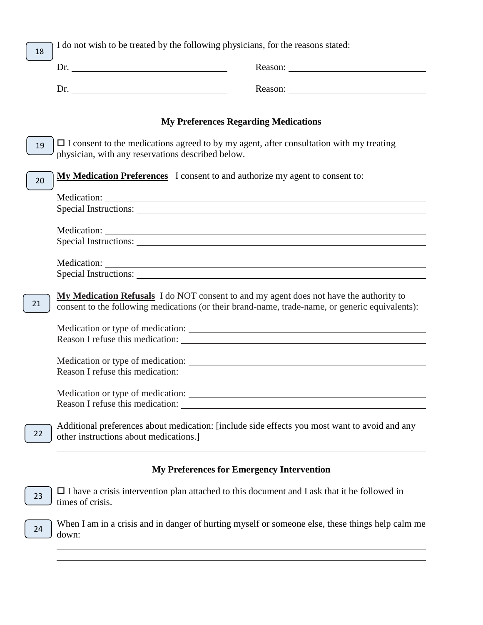| 18 | I do not wish to be treated by the following physicians, for the reasons stated:                                                                                                                                                    |
|----|-------------------------------------------------------------------------------------------------------------------------------------------------------------------------------------------------------------------------------------|
|    |                                                                                                                                                                                                                                     |
|    | Dr.                                                                                                                                                                                                                                 |
|    |                                                                                                                                                                                                                                     |
|    | <b>My Preferences Regarding Medications</b>                                                                                                                                                                                         |
| 19 | $\Box$ I consent to the medications agreed to by my agent, after consultation with my treating<br>physician, with any reservations described below.                                                                                 |
| 20 | My Medication Preferences I consent to and authorize my agent to consent to:                                                                                                                                                        |
|    |                                                                                                                                                                                                                                     |
|    |                                                                                                                                                                                                                                     |
|    |                                                                                                                                                                                                                                     |
|    | Special Instructions:                                                                                                                                                                                                               |
|    | Medication: Network of the state of the state of the state of the state of the state of the state of the state of the state of the state of the state of the state of the state of the state of the state of the state of the       |
|    |                                                                                                                                                                                                                                     |
| 21 | <b>My Medication Refusals</b> I do NOT consent to and my agent does not have the authority to<br>consent to the following medications (or their brand-name, trade-name, or generic equivalents):                                    |
|    |                                                                                                                                                                                                                                     |
|    |                                                                                                                                                                                                                                     |
|    | Reason I refuse this medication:                                                                                                                                                                                                    |
|    |                                                                                                                                                                                                                                     |
|    | Medication or type of medication:                                                                                                                                                                                                   |
|    | Additional preferences about medication: [include side effects you most want to avoid and any                                                                                                                                       |
| 22 |                                                                                                                                                                                                                                     |
|    |                                                                                                                                                                                                                                     |
|    | <b>My Preferences for Emergency Intervention</b>                                                                                                                                                                                    |
| 23 | $\Box$ I have a crisis intervention plan attached to this document and I ask that it be followed in<br>times of crisis.                                                                                                             |
| 24 | When I am in a crisis and in danger of hurting myself or someone else, these things help calm me<br>down:<br><u> 1989 - Johann Stoff, deutscher Stoffen und der Stoffen und der Stoffen und der Stoffen und der Stoffen und der</u> |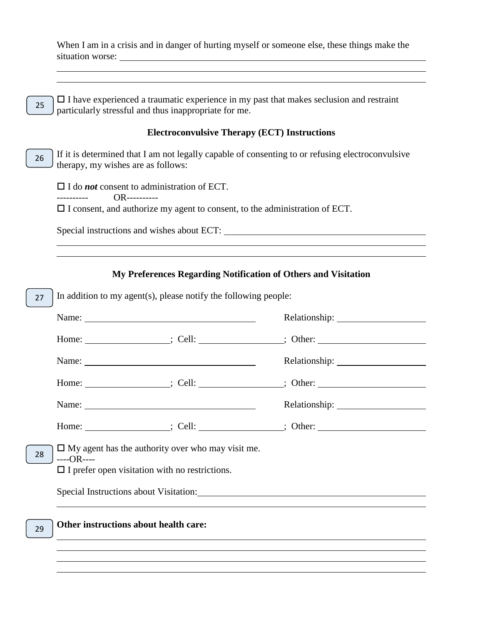When I am in a crisis and in danger of hurting myself or someone else, these things make the situation worse:

 $\Box$  I have experienced a traumatic experience in my past that makes seclusion and restraint particularly stressful and thus inappropriate for me. 25

#### **Electroconvulsive Therapy (ECT) Instructions**

If it is determined that I am not legally capable of consenting to or refusing electroconvulsive therapy, my wishes are as follows: 26

□ I do *not* consent to administration of ECT.

---------- OR----------

I consent, and authorize my agent to consent, to the administration of ECT.

Special instructions and wishes about ECT:

#### **My Preferences Regarding Notification of Others and Visitation**

| 27 | In addition to my agent(s), please notify the following people:                                                                 |  |                                                                                                                                                                                                                                |
|----|---------------------------------------------------------------------------------------------------------------------------------|--|--------------------------------------------------------------------------------------------------------------------------------------------------------------------------------------------------------------------------------|
|    | Name:                                                                                                                           |  |                                                                                                                                                                                                                                |
|    |                                                                                                                                 |  | Home: ____________________; Cell: ________________; Other: _____________________                                                                                                                                               |
|    |                                                                                                                                 |  |                                                                                                                                                                                                                                |
|    |                                                                                                                                 |  |                                                                                                                                                                                                                                |
|    |                                                                                                                                 |  |                                                                                                                                                                                                                                |
|    |                                                                                                                                 |  | Home: Solution and Solution Cell: Solution and Solution and Solution and Solution and Solution and Solution and Solution and Solution and Solution and Solution and Solution and Solution and Solution and Solution and Soluti |
| 28 | $\Box$ My agent has the authority over who may visit me.<br>$---OR---$<br>$\Box$ I prefer open visitation with no restrictions. |  |                                                                                                                                                                                                                                |
|    |                                                                                                                                 |  |                                                                                                                                                                                                                                |
| 29 | Other instructions about health care:                                                                                           |  |                                                                                                                                                                                                                                |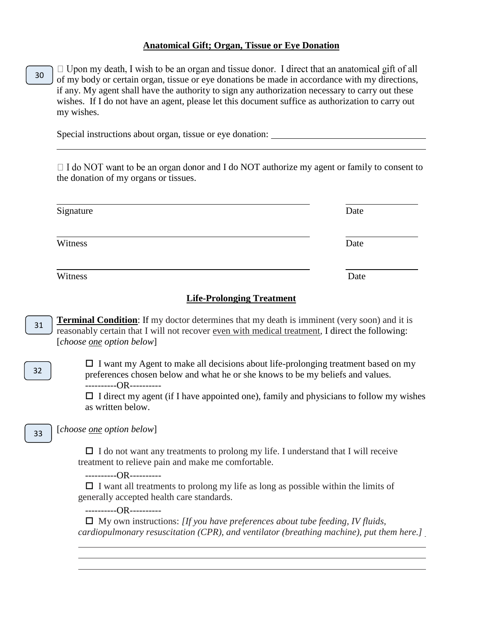#### **Anatomical Gift; Organ, Tissue or Eye Donation**

 $\Box$  Upon my death, I wish to be an organ and tissue donor. I direct that an anatomical gift of all 30 of my body or certain organ, tissue or eye donations be made in accordance with my directions, if any. My agent shall have the authority to sign any authorization necessary to carry out these wishes. If I do not have an agent, please let this document suffice as authorization to carry out my wishes.

Special instructions about organ, tissue or eye donation:

 $\Box$  I do NOT want to be an organ donor and I do NOT authorize my agent or family to consent to the donation of my organs or tissues.

| Signature | Date |
|-----------|------|
| Witness   | Date |
| Witness   | Date |

#### **Life-Prolonging Treatment**

**Terminal Condition**: If my doctor determines that my death is imminent (very soon) and it is reasonably certain that I will not recover even with medical treatment, I direct the following: [*choose one option below*] 31

 $\Box$  I want my Agent to make all decisions about life-prolonging treatment based on my preferences chosen below and what he or she knows to be my beliefs and values. ----------OR----------

 $\Box$  I direct my agent (if I have appointed one), family and physicians to follow my wishes as written below.

[*choose one option below*]

32

33

 $\Box$  I do not want any treatments to prolong my life. I understand that I will receive treatment to relieve pain and make me comfortable.

----------OR----------

 $\Box$  I want all treatments to prolong my life as long as possible within the limits of generally accepted health care standards.

----------OR----------

 My own instructions: *[If you have preferences about tube feeding, IV fluids, cardiopulmonary resuscitation (CPR), and ventilator (breathing machine), put them here.]*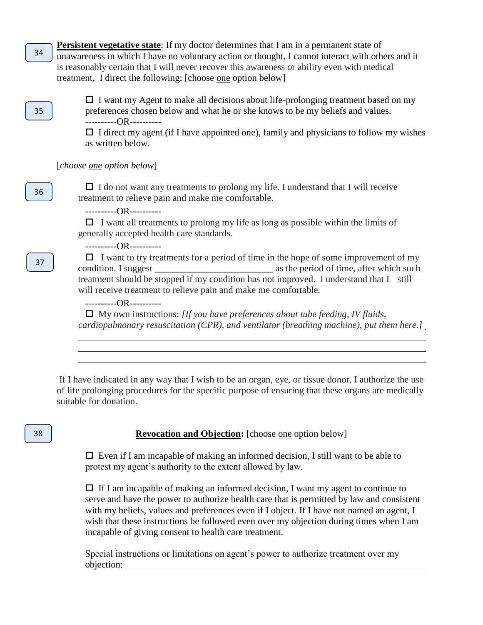**Persistent vegetative state**: If my doctor determines that I am in a permanent state of unawareness in which I have no voluntary action or thought, I cannot interact with others and it is reasonably certain that I will never recover this awareness or ability even with medical treatment, I direct the following: [choose one option below]

35

34

 $\Box$  I want my Agent to make all decisions about life-prolonging treatment based on my preferences chosen below and what he or she knows to be my beliefs and values. ----------OR----------

 $\Box$  I direct my agent (if I have appointed one), family and physicians to follow my wishes as written below.

[*choose one option below*]

 $\Box$  I do not want any treatments to prolong my life. I understand that I will receive treatment to relieve pain and make me comfortable.

----------OR----------

 $\Box$  I want all treatments to prolong my life as long as possible within the limits of generally accepted health care standards.

----------OR----------

 $\Box$  I want to try treatments for a period of time in the hope of some improvement of my condition. I suggest \_\_\_\_\_\_\_\_\_\_\_\_\_\_\_\_\_\_\_\_\_\_\_\_\_ as the period of time, after which such treatment should be stopped if my condition has not improved. I understand that I still will receive treatment to relieve pain and make me comfortable.

----------OR----------

 My own instructions: *[If you have preferences about tube feeding, IV fluids, cardiopulmonary resuscitation (CPR), and ventilator (breathing machine), put them here.]*

If I have indicated in any way that I wish to be an organ, eye, or tissue donor, I authorize the use of life prolonging procedures for the specific purpose of ensuring that these organs are medically suitable for donation.

#### 38

**Revocation and Objection:** [choose one option below]

 $\Box$  Even if I am incapable of making an informed decision, I still want to be able to protest my agent's authority to the extent allowed by law.

 $\Box$  If I am incapable of making an informed decision, I want my agent to continue to serve and have the power to authorize health care that is permitted by law and consistent with my beliefs, values and preferences even if I object. If I have not named an agent, I wish that these instructions be followed even over my objection during times when I am incapable of giving consent to health care treatment.

Special instructions or limitations on agent's power to authorize treatment over my objection:

37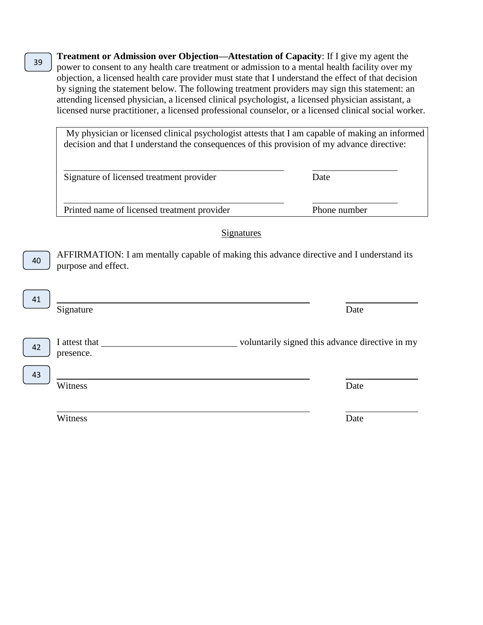**Treatment or Admission over Objection—Attestation of Capacity**: If I give my agent the power to consent to any health care treatment or admission to a mental health facility over my objection, a licensed health care provider must state that I understand the effect of that decision by signing the statement below. The following treatment providers may sign this statement: an attending licensed physician, a licensed clinical psychologist, a licensed physician assistant, a licensed nurse practitioner, a licensed professional counselor, or a licensed clinical social worker.

My physician or licensed clinical psychologist attests that I am capable of making an informed decision and that I understand the consequences of this provision of my advance directive:

| Signature of licensed treatment provider    | Date         |
|---------------------------------------------|--------------|
| Printed name of licensed treatment provider | Phone number |

**Signatures** 

AFFIRMATION: I am mentally capable of making this advance directive and I understand its purpose and effect.

I attest that voluntarily signed this advance directive in my

42

43

40

41

Witness Date

Witness Date

presence.

39

Signature Date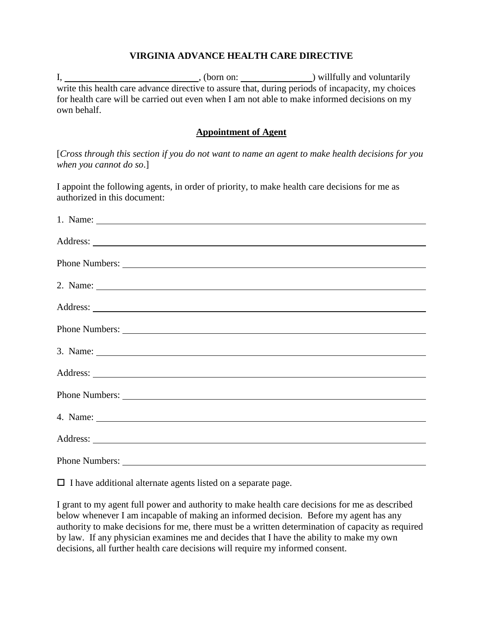### **VIRGINIA ADVANCE HEALTH CARE DIRECTIVE**

I, , (born on: ) willfully and voluntarily write this health care advance directive to assure that, during periods of incapacity, my choices for health care will be carried out even when I am not able to make informed decisions on my own behalf.

#### **Appointment of Agent**

[*Cross through this section if you do not want to name an agent to make health decisions for you when you cannot do so*.]

I appoint the following agents, in order of priority, to make health care decisions for me as authorized in this document:

| 1. Name: $\frac{1}{\sqrt{1-\frac{1}{2}}\sqrt{1-\frac{1}{2}}\sqrt{1-\frac{1}{2}}\sqrt{1-\frac{1}{2}}}}$                                                                                                                                                                                                             |
|--------------------------------------------------------------------------------------------------------------------------------------------------------------------------------------------------------------------------------------------------------------------------------------------------------------------|
|                                                                                                                                                                                                                                                                                                                    |
|                                                                                                                                                                                                                                                                                                                    |
| 2. Name: $\frac{1}{2}$ $\frac{1}{2}$ $\frac{1}{2}$ $\frac{1}{2}$ $\frac{1}{2}$ $\frac{1}{2}$ $\frac{1}{2}$ $\frac{1}{2}$ $\frac{1}{2}$ $\frac{1}{2}$ $\frac{1}{2}$ $\frac{1}{2}$ $\frac{1}{2}$ $\frac{1}{2}$ $\frac{1}{2}$ $\frac{1}{2}$ $\frac{1}{2}$ $\frac{1}{2}$ $\frac{1}{2}$ $\frac{1}{2}$ $\frac{1}{2}$ $\$ |
|                                                                                                                                                                                                                                                                                                                    |
|                                                                                                                                                                                                                                                                                                                    |
| 3. Name:                                                                                                                                                                                                                                                                                                           |
|                                                                                                                                                                                                                                                                                                                    |
|                                                                                                                                                                                                                                                                                                                    |
|                                                                                                                                                                                                                                                                                                                    |
|                                                                                                                                                                                                                                                                                                                    |
|                                                                                                                                                                                                                                                                                                                    |

 $\Box$  I have additional alternate agents listed on a separate page.

I grant to my agent full power and authority to make health care decisions for me as described below whenever I am incapable of making an informed decision. Before my agent has any authority to make decisions for me, there must be a written determination of capacity as required by law. If any physician examines me and decides that I have the ability to make my own decisions, all further health care decisions will require my informed consent.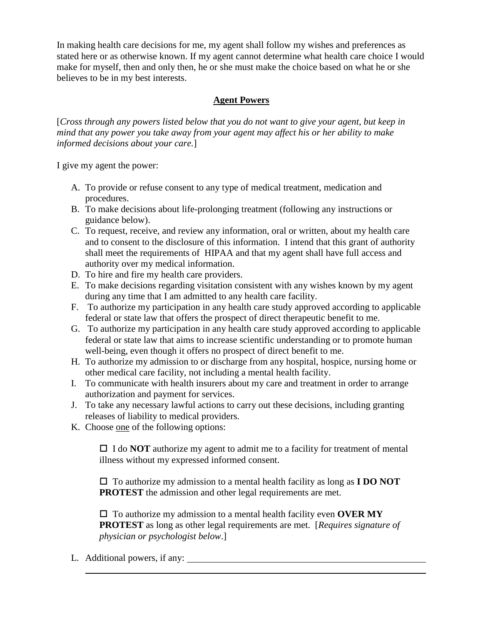In making health care decisions for me, my agent shall follow my wishes and preferences as stated here or as otherwise known. If my agent cannot determine what health care choice I would make for myself, then and only then, he or she must make the choice based on what he or she believes to be in my best interests.

# **Agent Powers**

[*Cross through any powers listed below that you do not want to give your agent, but keep in mind that any power you take away from your agent may affect his or her ability to make informed decisions about your care.*]

I give my agent the power:

- A. To provide or refuse consent to any type of medical treatment, medication and procedures.
- B. To make decisions about life-prolonging treatment (following any instructions or guidance below).
- C. To request, receive, and review any information, oral or written, about my health care and to consent to the disclosure of this information. I intend that this grant of authority shall meet the requirements of HIPAA and that my agent shall have full access and authority over my medical information.
- D. To hire and fire my health care providers.
- E. To make decisions regarding visitation consistent with any wishes known by my agent during any time that I am admitted to any health care facility.
- F. To authorize my participation in any health care study approved according to applicable federal or state law that offers the prospect of direct therapeutic benefit to me.
- G. To authorize my participation in any health care study approved according to applicable federal or state law that aims to increase scientific understanding or to promote human well-being, even though it offers no prospect of direct benefit to me.
- H. To authorize my admission to or discharge from any hospital, hospice, nursing home or other medical care facility, not including a mental health facility.
- I. To communicate with health insurers about my care and treatment in order to arrange authorization and payment for services.
- J. To take any necessary lawful actions to carry out these decisions, including granting releases of liability to medical providers.
- K. Choose one of the following options:

 $\Box$  I do **NOT** authorize my agent to admit me to a facility for treatment of mental illness without my expressed informed consent.

 To authorize my admission to a mental health facility as long as **I DO NOT PROTEST** the admission and other legal requirements are met.

 $\Box$  To authorize my admission to a mental health facility even **OVER MY PROTEST** as long as other legal requirements are met. [*Requires signature of physician or psychologist below*.]

L. Additional powers, if any: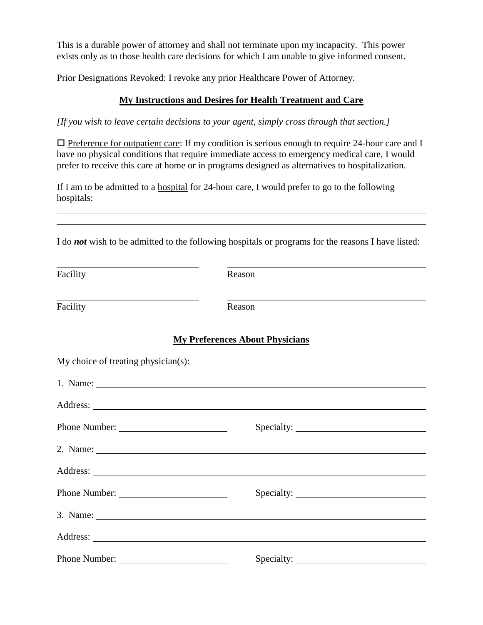This is a durable power of attorney and shall not terminate upon my incapacity. This power exists only as to those health care decisions for which I am unable to give informed consent.

Prior Designations Revoked: I revoke any prior Healthcare Power of Attorney.

# **My Instructions and Desires for Health Treatment and Care**

*[If you wish to leave certain decisions to your agent, simply cross through that section.]* 

 $\Box$  Preference for outpatient care: If my condition is serious enough to require 24-hour care and I have no physical conditions that require immediate access to emergency medical care, I would prefer to receive this care at home or in programs designed as alternatives to hospitalization.

If I am to be admitted to a hospital for 24-hour care, I would prefer to go to the following hospitals:

I do *not* wish to be admitted to the following hospitals or programs for the reasons I have listed:

| Facility                            | Reason                                                                                                                                                                                                                                                                                                                                                                                                      |  |
|-------------------------------------|-------------------------------------------------------------------------------------------------------------------------------------------------------------------------------------------------------------------------------------------------------------------------------------------------------------------------------------------------------------------------------------------------------------|--|
| Facility                            | Reason                                                                                                                                                                                                                                                                                                                                                                                                      |  |
|                                     | <b>My Preferences About Physicians</b>                                                                                                                                                                                                                                                                                                                                                                      |  |
| My choice of treating physician(s): |                                                                                                                                                                                                                                                                                                                                                                                                             |  |
|                                     |                                                                                                                                                                                                                                                                                                                                                                                                             |  |
|                                     |                                                                                                                                                                                                                                                                                                                                                                                                             |  |
|                                     |                                                                                                                                                                                                                                                                                                                                                                                                             |  |
|                                     | 2. Name: $\frac{1}{\sqrt{1-\frac{1}{2}}\sqrt{1-\frac{1}{2}}\sqrt{1-\frac{1}{2}}\sqrt{1-\frac{1}{2}}\sqrt{1-\frac{1}{2}}\sqrt{1-\frac{1}{2}}\sqrt{1-\frac{1}{2}}\sqrt{1-\frac{1}{2}}\sqrt{1-\frac{1}{2}}\sqrt{1-\frac{1}{2}}\sqrt{1-\frac{1}{2}}\sqrt{1-\frac{1}{2}}\sqrt{1-\frac{1}{2}}\sqrt{1-\frac{1}{2}}\sqrt{1-\frac{1}{2}}\sqrt{1-\frac{1}{2}}\sqrt{1-\frac{1}{2}}\sqrt{1-\frac{1}{2}}\sqrt{1-\frac{1$ |  |
|                                     |                                                                                                                                                                                                                                                                                                                                                                                                             |  |
|                                     |                                                                                                                                                                                                                                                                                                                                                                                                             |  |
|                                     | 3. Name: $\frac{1}{2}$ $\frac{1}{2}$ $\frac{1}{2}$ $\frac{1}{2}$ $\frac{1}{2}$ $\frac{1}{2}$ $\frac{1}{2}$ $\frac{1}{2}$ $\frac{1}{2}$ $\frac{1}{2}$ $\frac{1}{2}$ $\frac{1}{2}$ $\frac{1}{2}$ $\frac{1}{2}$ $\frac{1}{2}$ $\frac{1}{2}$ $\frac{1}{2}$ $\frac{1}{2}$ $\frac{1}{2}$ $\frac{1}{2}$ $\frac{1}{2}$ $\$                                                                                          |  |
|                                     |                                                                                                                                                                                                                                                                                                                                                                                                             |  |
|                                     |                                                                                                                                                                                                                                                                                                                                                                                                             |  |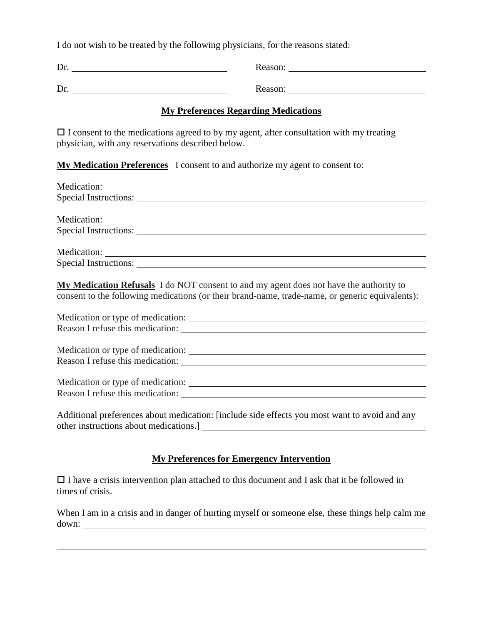I do not wish to be treated by the following physicians, for the reasons stated:

Dr. Reason:

Dr. Reason: Reason:

# **My Preferences Regarding Medications**

 $\Box$  I consent to the medications agreed to by my agent, after consultation with my treating physician, with any reservations described below.

# **My Medication Preferences** I consent to and authorize my agent to consent to:

| Special Instructions:                                                                           |
|-------------------------------------------------------------------------------------------------|
|                                                                                                 |
| <b>My Medication Refusals</b> I do NOT consent to and my agent does not have the authority to   |
| consent to the following medications (or their brand-name, trade-name, or generic equivalents): |

| Medication or type of medication: |                                   |
|-----------------------------------|-----------------------------------|
| Reason I refuse this medication:  |                                   |
|                                   | Medication or type of medication: |
| Reason I refuse this medication:  |                                   |
| Medication or type of medication: |                                   |
| Reason I refuse this medication:  |                                   |

Additional preferences about medication: [include side effects you most want to avoid and any other instructions about medications.]

# **My Preferences for Emergency Intervention**

 $\Box$  I have a crisis intervention plan attached to this document and I ask that it be followed in times of crisis.

When I am in a crisis and in danger of hurting myself or someone else, these things help calm me down: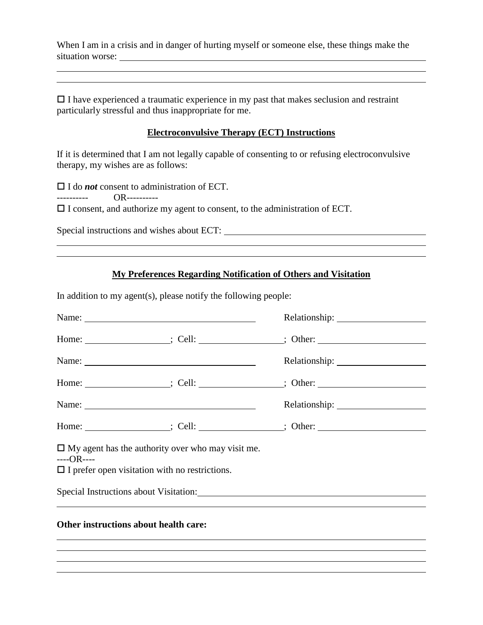When I am in a crisis and in danger of hurting myself or someone else, these things make the situation worse:

 $\Box$  I have experienced a traumatic experience in my past that makes seclusion and restraint particularly stressful and thus inappropriate for me.

#### **Electroconvulsive Therapy (ECT) Instructions**

If it is determined that I am not legally capable of consenting to or refusing electroconvulsive therapy, my wishes are as follows:

I do *not* consent to administration of ECT.

---------- OR----------

 $\Box$  I consent, and authorize my agent to consent, to the administration of ECT.

Special instructions and wishes about ECT:

# **My Preferences Regarding Notification of Others and Visitation**

In addition to my agent(s), please notify the following people:

|                                                                     | Name:                                                    |                                                                                                              |
|---------------------------------------------------------------------|----------------------------------------------------------|--------------------------------------------------------------------------------------------------------------|
|                                                                     |                                                          | Home: __________________; Cell: _______________; Other: ________________________                             |
|                                                                     | Name:                                                    |                                                                                                              |
|                                                                     |                                                          | Home: ___________________; Cell: _______________; Other: ________________________                            |
|                                                                     | Name:                                                    |                                                                                                              |
|                                                                     |                                                          | Home: __________________; Cell: _______________; Other: ________________________                             |
| $---OR---$<br>$\Box$ I prefer open visitation with no restrictions. | $\Box$ My agent has the authority over who may visit me. |                                                                                                              |
|                                                                     |                                                          | Special Instructions about Visitation: Manual According to the United Special Instructions about Visitation: |
| Other instructions about health care-                               |                                                          |                                                                                                              |

#### **Other instructions about health care:**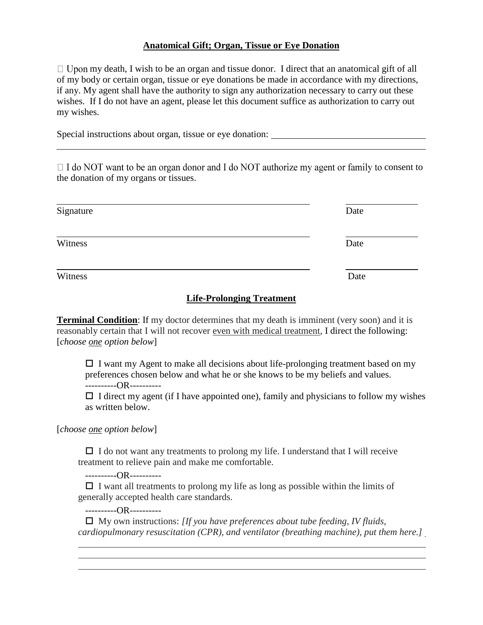### **Anatomical Gift; Organ, Tissue or Eye Donation**

 $\Box$  Upon my death, I wish to be an organ and tissue donor. I direct that an anatomical gift of all of my body or certain organ, tissue or eye donations be made in accordance with my directions, if any. My agent shall have the authority to sign any authorization necessary to carry out these wishes. If I do not have an agent, please let this document suffice as authorization to carry out my wishes.

Special instructions about organ, tissue or eye donation:

 $\Box$  I do NOT want to be an organ donor and I do NOT authorize my agent or family to consent to the donation of my organs or tissues.

| Signature | Date |
|-----------|------|
| Witness   | Date |
| Witness   | Date |

#### **Life-Prolonging Treatment**

**Terminal Condition**: If my doctor determines that my death is imminent (very soon) and it is reasonably certain that I will not recover even with medical treatment, I direct the following: [*choose one option below*]

 $\Box$  I want my Agent to make all decisions about life-prolonging treatment based on my preferences chosen below and what he or she knows to be my beliefs and values. ----------OR----------

 $\Box$  I direct my agent (if I have appointed one), family and physicians to follow my wishes as written below.

[*choose one option below*]

 $\Box$  I do not want any treatments to prolong my life. I understand that I will receive treatment to relieve pain and make me comfortable.

----------OR----------

 $\Box$  I want all treatments to prolong my life as long as possible within the limits of generally accepted health care standards.

----------OR----------

 My own instructions: *[If you have preferences about tube feeding, IV fluids, cardiopulmonary resuscitation (CPR), and ventilator (breathing machine), put them here.]*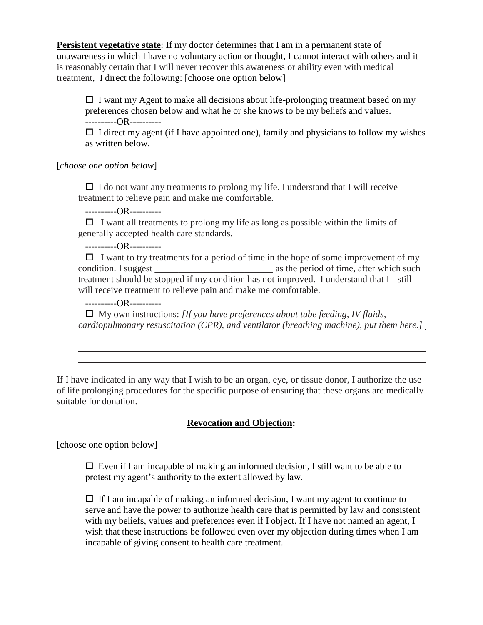**Persistent vegetative state**: If my doctor determines that I am in a permanent state of unawareness in which I have no voluntary action or thought, I cannot interact with others and it is reasonably certain that I will never recover this awareness or ability even with medical treatment, I direct the following: [choose one option below]

 $\Box$  I want my Agent to make all decisions about life-prolonging treatment based on my preferences chosen below and what he or she knows to be my beliefs and values. ----------OR----------

 $\Box$  I direct my agent (if I have appointed one), family and physicians to follow my wishes as written below.

[*choose one option below*]

 $\Box$  I do not want any treatments to prolong my life. I understand that I will receive treatment to relieve pain and make me comfortable.

----------OR----------

 $\Box$  I want all treatments to prolong my life as long as possible within the limits of generally accepted health care standards.

----------OR----------

 $\Box$  I want to try treatments for a period of time in the hope of some improvement of my condition. I suggest \_\_\_\_\_\_\_\_\_\_\_\_\_\_\_\_\_\_\_\_\_\_\_\_\_ as the period of time, after which such treatment should be stopped if my condition has not improved. I understand that I still will receive treatment to relieve pain and make me comfortable.

----------OR----------

 My own instructions: *[If you have preferences about tube feeding, IV fluids, cardiopulmonary resuscitation (CPR), and ventilator (breathing machine), put them here.]*

If I have indicated in any way that I wish to be an organ, eye, or tissue donor, I authorize the use of life prolonging procedures for the specific purpose of ensuring that these organs are medically suitable for donation.

# **Revocation and Objection:**

[choose one option below]

 $\Box$  Even if I am incapable of making an informed decision, I still want to be able to protest my agent's authority to the extent allowed by law.

 $\Box$  If I am incapable of making an informed decision, I want my agent to continue to serve and have the power to authorize health care that is permitted by law and consistent with my beliefs, values and preferences even if I object. If I have not named an agent, I wish that these instructions be followed even over my objection during times when I am incapable of giving consent to health care treatment.